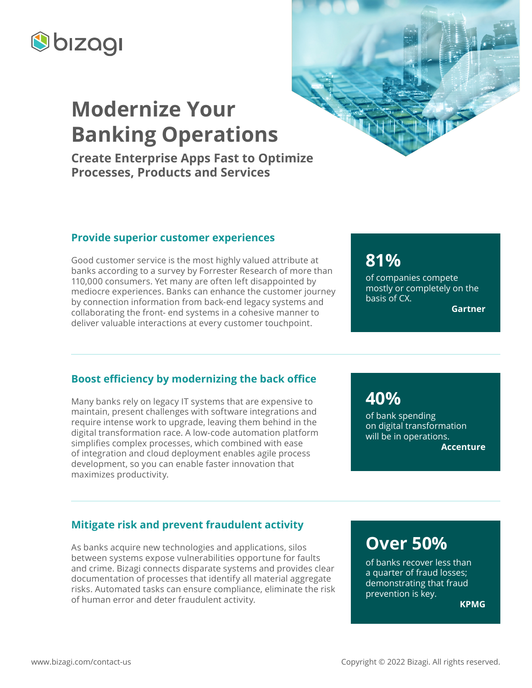

# **Modernize Your Banking Operations**

**Create Enterprise Apps Fast to Optimize Processes, Products and Services**

#### **Provide superior customer experiences**

Good customer service is the most highly valued attribute at banks according to a survey by Forrester Research of more than 110,000 consumers. Yet many are often left disappointed by mediocre experiences. Banks can enhance the customer journey by connection information from back-end legacy systems and collaborating the front- end systems in a cohesive manner to deliver valuable interactions at every customer touchpoint.

# **81%**

of companies compete mostly or completely on the basis of CX.

**Gartner**

#### **Boost efficiency by modernizing the back office**

Many banks rely on legacy IT systems that are expensive to maintain, present challenges with software integrations and require intense work to upgrade, leaving them behind in the digital transformation race. A low-code automation platform simplifies complex processes, which combined with ease of integration and cloud deployment enables agile process development, so you can enable faster innovation that maximizes productivity.

## **40%**

of bank spending on digital transformation will be in operations. **Accenture**

#### **Mitigate risk and prevent fraudulent activity**

As banks acquire new technologies and applications, silos between systems expose vulnerabilities opportune for faults and crime. Bizagi connects disparate systems and provides clear documentation of processes that identify all material aggregate risks. Automated tasks can ensure compliance, eliminate the risk of human error and deter fraudulent activity.

# **Over 50%**

of banks recover less than a quarter of fraud losses; demonstrating that fraud prevention is key.

**KPMG**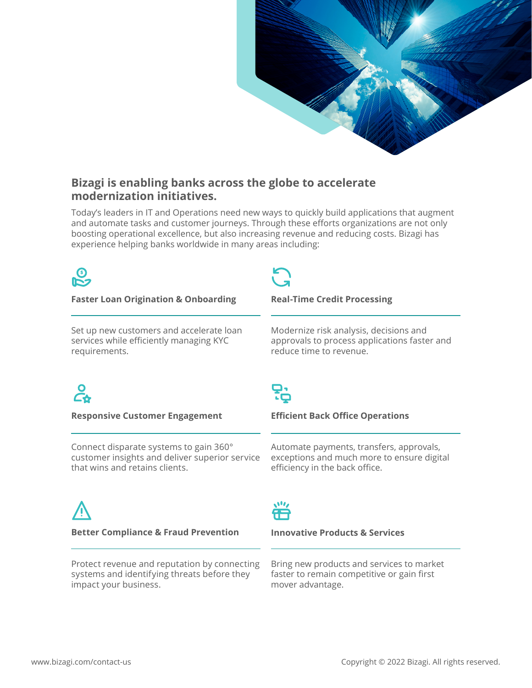

#### **Bizagi is enabling banks across the globe to accelerate modernization initiatives.**

Today's leaders in IT and Operations need new ways to quickly build applications that augment and automate tasks and customer journeys. Through these efforts organizations are not only boosting operational excellence, but also increasing revenue and reducing costs. Bizagi has experience helping banks worldwide in many areas including:



**Faster Loan Origination & Onboarding**

Set up new customers and accelerate loan services while efficiently managing KYC requirements.



**Real-Time Credit Processing**

Modernize risk analysis, decisions and approvals to process applications faster and reduce time to revenue.



**Responsive Customer Engagement**

Connect disparate systems to gain 360° customer insights and deliver superior service that wins and retains clients.



**Better Compliance & Fraud Prevention**

Protect revenue and reputation by connecting systems and identifying threats before they impact your business.



**Efficient Back Office Operations**

Automate payments, transfers, approvals, exceptions and much more to ensure digital efficiency in the back office.



**Innovative Products & Services**

Bring new products and services to market faster to remain competitive or gain first mover advantage.